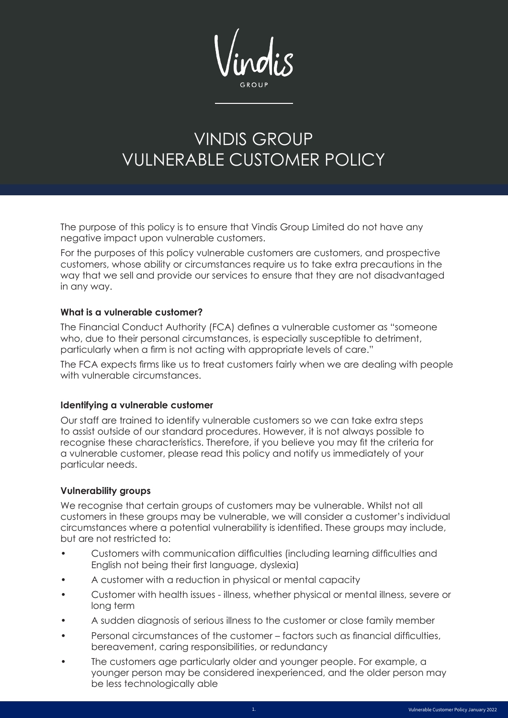# VINDIS GROUP VULNERABLE CUSTOMER POLICY

The purpose of this policy is to ensure that Vindis Group Limited do not have any negative impact upon vulnerable customers.

For the purposes of this policy vulnerable customers are customers, and prospective customers, whose ability or circumstances require us to take extra precautions in the way that we sell and provide our services to ensure that they are not disadvantaged in any way.

### **What is a vulnerable customer?**

The Financial Conduct Authority (FCA) defines a vulnerable customer as "someone who, due to their personal circumstances, is especially susceptible to detriment, particularly when a firm is not acting with appropriate levels of care."

The FCA expects firms like us to treat customers fairly when we are dealing with people with vulnerable circumstances.

### **Identifying a vulnerable customer**

Our staff are trained to identify vulnerable customers so we can take extra steps to assist outside of our standard procedures. However, it is not always possible to recognise these characteristics. Therefore, if you believe you may fit the criteria for a vulnerable customer, please read this policy and notify us immediately of your particular needs.

### **Vulnerability groups**

We recognise that certain groups of customers may be vulnerable. Whilst not all customers in these groups may be vulnerable, we will consider a customer's individual circumstances where a potential vulnerability is identified. These groups may include, but are not restricted to:

- Customers with communication difficulties (including learning difficulties and English not being their first language, dyslexia)
- A customer with a reduction in physical or mental capacity
- Customer with health issues illness, whether physical or mental illness, severe or long term
- A sudden diagnosis of serious illness to the customer or close family member
- Personal circumstances of the customer factors such as financial difficulties, bereavement, caring responsibilities, or redundancy
- The customers age particularly older and younger people. For example, a younger person may be considered inexperienced, and the older person may be less technologically able